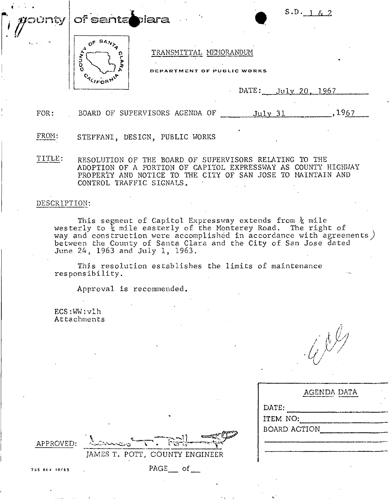of santablara





TRANSMITTAL MEMORANDUM

DEPARTMENT OF PUBLIC WORKS

 $\text{DATE:}$  July 20, 1967

FOR: BOARD OF SUPERVISORS AGENDA OF  $July 31$ ,  $1967$ 

FROM: STEFFANI, DESIGN, PUBLIC WORKS

TITLE: RESOLUTION OF THE BOARD OF SUPERVISORS RELATING TO THE ADOPTION OF A PORTION OF CAPITOL EXPRESSWAY AS COUNTY HIGHWAY PROPERTY AND NOTICE TO THE CITY OF SAN JOSE TO MAINTAIN AND CONTROL TRAFFIC SIGNALS.

## DESCRIPTION:

unty

This segment of Capitol Expressway extends from  $\frac{1}{4}$  mile westerly to  $\frac{1}{4}$  mile easterly of the Monterey Road. The right of way and construction were accomplished in accordance with agreements) between the County of Santa Clara and the City of San Jose dated June 24, 1963 and July 1, 1963.

This resolution establishes the limits of maintenance responsibility.

Approval is recommended.

ECS:WW:vlh Attachments

 $\left( e^{i\theta}\right)$ 

|   | AGENDA DATA         |  |  |  |  |  |
|---|---------------------|--|--|--|--|--|
|   | DATE:               |  |  |  |  |  |
|   | ITEM NO:            |  |  |  |  |  |
| Ş | <b>BOARD ACTION</b> |  |  |  |  |  |
|   |                     |  |  |  |  |  |
|   |                     |  |  |  |  |  |

APPROVED:

JAMES T. POTT, COUNTY ENGINEER

755 REV 10/65 . PAGE of \_\_\_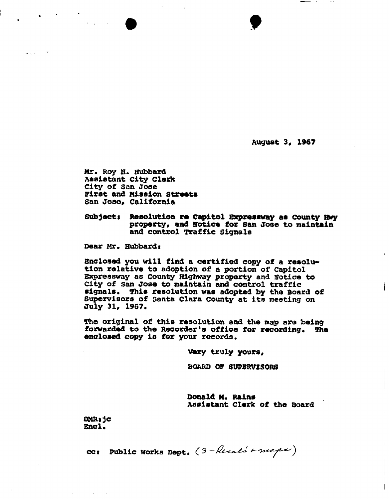**August 3, 196?** 

**t** 

**Mr\* Roy H. Hubbard Assistant City Clexfe City of** San **Jose First and Mission Streets San Jose, California** 

**Subjects Resolution re Capitol Expressway as county Hwy property, and Hotice for San Jose to maintain and control Traffic Signals** 

**Dear Mr, Hubbards** 

الأرباط

**Enclosed you will find a certified copy of a resolution relative to adoption of a portion of Capitol Expressway as County Highway property and Notice to City of san Jose to maintain and control traffic signals. This resolution was adopted by the Board of Supervisors of Santa Clara County at its meeting on July 31, 1967.** 

**The original of this resolution and the map are being forwarded to the Recorder<sup>1</sup>s office for recording\* The enclosed copy is for your records.** 

**Very truly yours.** 

**BOARD OF SUPERVISORS** 

**Donald M. Rains Assistant Clerk of the Board** 

**OMRs jc**  Encl.

ce: Public Works Dept. (3-Resals Frages)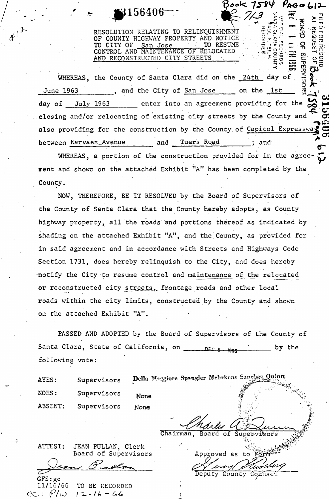RESOLUTION RELATING TO RELINQUISHMENT OF COUNTY HIGHWAY PROPERTY AND NOTICE<br>TO CITY OF San Jose TO RESUME TO CITY OF San Jose TO RESUME CONTROL AND MAINTENANCE OF RELOCATED . AND RECONSTRUCTED CITY STREETS

3156406

Book 7584 Page612

 $\frac{1}{2}$   $\frac{1}{2}$   $\frac{1}{2}$   $\frac{1}{2}$   $\frac{1}{2}$   $\frac{1}{2}$ 

 $\Omega$   $\mathbf{P}$   $\mathbf{X}$   $\mathbf{Z}$   $\mathbf{C}$ §<sup>m</sup> *-n* 

 $\Omega$ 

**SUPER** 

 $\ddot{\mathbf{g}}$   $\mathbf{g}$   $\ddot{\mathbf{g}}$   $\ddot{\mathbf{g}}$   $\ddot{\mathbf{g}}$   $\ddot{\mathbf{g}}$   $\ddot{\mathbf{g}}$   $\ddot{\mathbf{g}}$   $\ddot{\mathbf{g}}$   $\ddot{\mathbf{g}}$   $\ddot{\mathbf{g}}$  $\mathbb{P}^{\mathfrak{w}}$  , which  $\mathbb{P}^{\mathfrak{w}}$  , which  $\mathbb{P}^{\mathfrak{w}}$ - ^ C O O

 $\frac{1}{2}$   $\frac{1}{2}$   $\frac{1}{2}$   $\frac{1}{2}$   $\frac{1}{2}$   $\frac{1}{2}$   $\frac{1}{2}$   $\frac{1}{2}$   $\frac{1}{2}$   $\frac{1}{2}$   $\frac{1}{2}$   $\frac{1}{2}$   $\frac{1}{2}$   $\frac{1}{2}$   $\frac{1}{2}$   $\frac{1}{2}$   $\frac{1}{2}$   $\frac{1}{2}$   $\frac{1}{2}$   $\frac{1}{2}$   $\frac{1}{2}$   $\frac{1}{2}$   $\mathcal{L}$  or  $\mathcal{L}$  in  $\mathcal{L}$ 

O'

 $\Xi \succeq$  :

 $\leq 5$ WHEREAS, the County of Santa Clara did on the 24th day of June 1963 , and the City of San Jose on the 1st  $\widetilde{\mathbb{E}}$   $\widetilde{\mathbb{E}}$   $\widetilde{\mathbb{E}}$ day of July 1963 enter into an agreement providing for the  $\bm{\varphi}$  and closing and/or relocating of existing city streets by the County and also providing for the construction by the County of Capitol Expressway also provided for the construction by the construction by the  $C$ between Narvaez Avenue and Tuers Road ; and **6.**<br> **EXECUTE: Avenue** and Tuers Road ; and **6.** 

•WHEREAS, a portion of the construction provided for in the agreement and shown on the attached Exhibit "A" has been completed by the County.

NOW, THEREFORE, BE IT RESOLVED by the Board of Supervisors of the County of Santa Clara that the County hereby adopts, as County highway property, all the roads and portions thereof as indicated by shading on the attached Exhibit "A", and the County, as provided for shading on the attached Exhibit "A", and the County, as provided for in said agreement and in accordance with Streets and Highways Code Section 1731, does hereby relinquish to the City, and does hereby notify the City to result the City to relative control and maintenance of the relative control and maintenance<br>The relative control and maintenance of the relative control and maintenance control and maintenance control a .or reconstructed city street city street city street city street city street city street city street city street city street city street city street city street city street city street city street city street city street roads within the city limits, constructed by the County and shown on the attached Exhibit "A". on the attached Exhibit "A".

FASSED AND ADOPTED by the Board of Supervisors of the County of Santa Clara, State of California, on **noting the state of the state of California**, on **noting the state of the state** following vote:

NOES: Supervisors None ABSENT: Supervisors None

**a** 

 $\texttt{GFS}\texttt{:gc}$ 

*t* 

*h* 

AYES: Supervisors Della Moggiore Spangler Mehrkens Sangher Quinn

 $M$ marles a

Approved as to Form  $27$  inn $\sqrt{2}$ Deputy County Cornsel

ATTEST: JEAN PULLAN, Clerk Board of Supervisors

11/16/66 TO BE RECORDED  $P/w$   $12-16-66$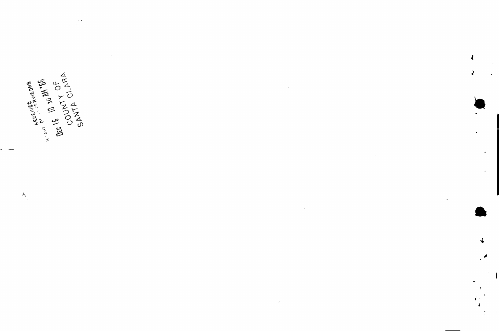

 $\mathbf{I}$ 

 $\ddot{\phantom{a}}$ 

**OFATACES 997 M DEC 10 90 M PSG ARCENTED ASSESS** 

 $\lambda_{\zeta}$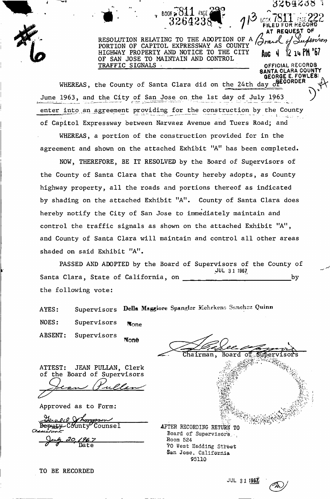OGODOOD **F** I<br>AT REQUEST OF<br>G TO THE ADOPTION OF A *Arguel* of *Audension* PORTION OF CAPITOL EXPRESSWAY AS COUNTY HIGHWAY PROPERTY AND NOTICE TO THE CITY OF SAN JOSE TO MAINTAIN AND CONTROL TRAFFIC SIGNALS

**SANTA CLARA COUNT** 

**<sup>v</sup> BOOK si 811 FAPE**jh^ **O ' 99r>** 

 $T^{\sim}$  page 10 For Record  $\sim$ 

 $A_{\text{ULG}}$  4  $12$  14 PM  $367$ 

OFFICIAL RECORDS

*GEORGE E. FOWLES* 

**QUEGORDER** WHEREAS, the County of Santa Clara did on the 24th day of  $\mathbb{R}$  $\left(\begin{array}{ccc} 1 & 0 & 0 \\ 0 & 0 & 0 \end{array}\right)^{\nu}$ June 1963, and the City of San Jose on the 1st day of July 1963 *<sup>J</sup>* enter into an agreement providing for the construction by the County of Capitol Expressway between Narvaez Avenue and Tuers Road; and

WHEREAS, a portion of the construction provided for in the agreement and shown on the attached Exhibit "A" has been completed.

NOW, THEREFORE, BE IT RESOLVED by the Board of Supervisors of the County of Santa Clara that the County hereby adopts, as County highway property, all the roads and portions thereof as indicated by shading on the attached Exhibit "A". County of Santa Clara does hereby notify the City of San Jose to immediately maintain and hereby notify the City of San Jose to immediately maintain and control the traffic signals as shown on the attached Exhibit "A", and  $C$  county of  $\mathcal{L}$  and control all other and control all other areas  $\mathcal{L}$ shaded on said Exhibit "A".

PASSED AND ADOPTED by the Board of Supervisors of the County of<br>JUL 31 1967 **JUL 3 1 1967.**  Santa Clara, State of California, on by the following vote:

AYES: Supervisors Della Maggiore Spangler Mehrkens Sanchez Quinn

NOES: Supervisors None

ABSENT: Supervisors None

ATTEST: JEAN PULLAN, Clerk of the Board of Supervisors

Approved as to Form:

<u>leral Unongssen</u> Deputy County Counsel

*tf*  Date

Chairman, Board ി Suber *it'*  v-y V. t\ i *h-iy..*  •.J: *.* a, v •  $\Re$  .  $s$   $\cup$   $s$   $\cup$   $s$   $\cup$   $s$   $\cup$   $s$   $\cup$   $s$   $\cup$   $s$   $\cup$   $s$   $\cup$   $s$   $\cup$   $s$   $\cup$   $s$   $\cup$   $s$   $\cup$   $s$   $\cup$   $s$   $\cup$   $s$   $\cup$   $s$   $\cup$   $s$   $\cup$   $s$   $\cup$   $s$   $\cup$   $s$   $\cup$   $s$   $\cup$   $s$   $\cup$   $s$   $\cup$   $s$   $\cup$   $s$  AFTER RECORDING RETURN TO Board of Supervisors... Room 524  $70$  West Hedding Street San Jose, California 95110

TO BE RECORDED

JUL 31 1967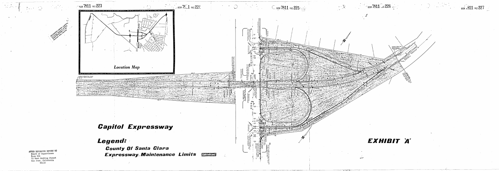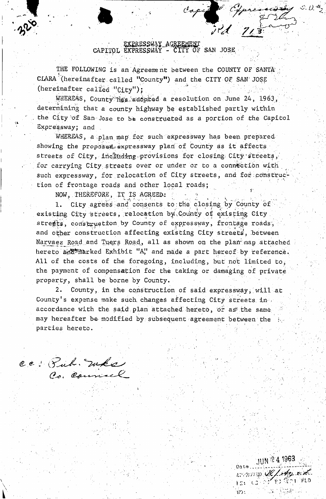EXPRESSWAY AGREEMENT<br>CAPITOL EXPRESSWAY - CITY OF SAN JOSE

Capit Germany S.D.#2

THE FOLLOWING is an Agreement between the COUNTY OF SANTA CLARA<sup>5</sup> (hereinafter called "County") and the CITY OF SAN JOSE (hereinafter called "City");

WHEREAS, County Hes adopted a resolution on June 24, 1963, determining that a county highway be established partly within the City of San Jose to b& constructed as a portion of the Capitol Expressway; and .

WHEREAS, a plan map for such expressway has been prepared showing the proposed expressway plan of County as it affects streets of City, including provisions for closing City'streets, for carrying City streets over or under or to a connection with such expressway, for relocation of City streets, and for construction of frontage roads and other local roads;

NOW, THEREFORE, IT IS AGREED:

1. City agrees and consents to:the closing by County of existing City streets, relocation by County of existing City streets, construction by County of expressway, frontage roads, and other construction affecting existing City streets, between Narvaez Road and Tuers Road, all as shown on the plan map attached hereto add marked Exhibit "A" and made a part hereof by reference. All of the costs of the foregoing, including, but not limited to, the payment of compensation for the taking or damaging of private property, shall be borne by County.

2. County, in the construction of said expressway; will at County's expense make such changes affecting City streets in accordance with the said plan attached hereto, or as the same may hereafter be modified by subsequent agreement between the parties hereto.

 $e \in C$  .  $\mathcal{I}$  we  $\leftarrow$ 

JUN 24 1963 mano le/An Ed. HEL CELOR ES TERRITO **NO**: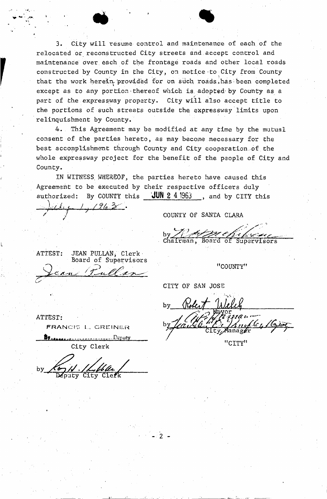3. City will resume control and maintenance of each of the relocated or reconstructed City streets and accept control and maintenance over each of the frontage roads and other local roads constructed by County in the City, on notice to City from County that the work herein provided for on such roads has been completed except as to any portion-thereof which is, adopted'by County as a part of the expressway property. City will also accept title to the portions of such streets outside the expressway limits upon relinquishment by County.

 $\bullet$ 

4.. This Agreement may be modified at any time by the mutual consent of the parties hereto, as may become necessary for the best accomplishment through County and City cooperation,of the whole expressway project for the benefit of the people of City and County.

IN WITNESS WHEREOF, the parties hereto have caused this Agreement to be executed by their respective officers duly authorized: By COUNTY this JUN 2 4 1963 , and by CITY this *J y/fUX* 

 $-2 -$ 

COUNTY OF SANTA CLARA

rman, Board of Supervisors

"COUNTY"

CITY OF SAN JOSE

by <u>Robert Welch</u>

"CITY"

ATTEST:

*/* 

FRANCIS L. GREINER

ATTEST: JEAN PULLAN; Clerk

Board of Supetvisors

**h**<br>**h** *C*<sup>1</sup> *h***<sub>rt</sub>** *C***<sup>1</sup> <b>***c<sup>1</sup></del> <i>c*<sup>1</sup> *c<sup>1</sup> c<sup>2</sup> c<sup>1</sup> c<sup>2</sup> c<sup>2</sup> c<sup>2</sup> c<sup>2</sup> c<sup>2</sup> c<sup>2</sup> c<sup>2</sup> c<sup>2</sup> c<sup>2</sup> c<sup>2</sup> c<sup>2</sup> c<sup>2</sup> c<sup>2</sup> c<sup>2</sup> c<sup>2</sup> c<sup>2</sup>* City Clerk

City Clefk by $\mathcal{L}_{\rightarrow}$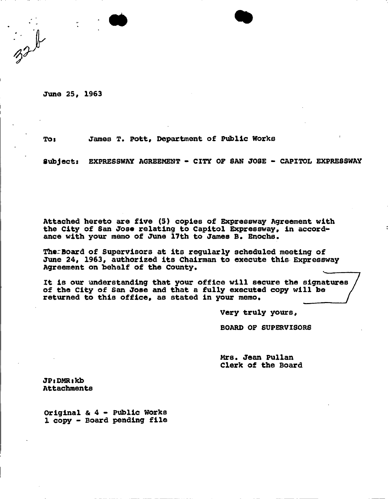**June 25, 1963** 

**To8 James T. Pott, Department of Public Works** 

**Subjects EXPRESSWAY AGREEMENT - CITY OF SAN JOSE - CAPITOL EXPRESSWAY** 

**Attached hereto are five (S) copies of Expressway Agreement with the City of San Jose relating to Capitol Expressway, in accordance with your memo of June 17th to James B. Enochs.** 

**TherBoard of Supervisors at its regularly scheduled meeting of June 24, 1963, authorized its Chairman to execute this Expressway**  Agreement on behalf of the County.

**It is our understanding that your office will secure the signatures of the City of San Jose and that a fully executed copy will be**  returned to this office, as stated in your memo.

**Very truly yours,** 

**BOARD OF SUPERVISORS** 

**Mrs. Jean Pullan Clerk of the Board** 

**JPsDMRtkb Attachments** 

**Original & 4 - Public Works 1 copy ~ Board pending file**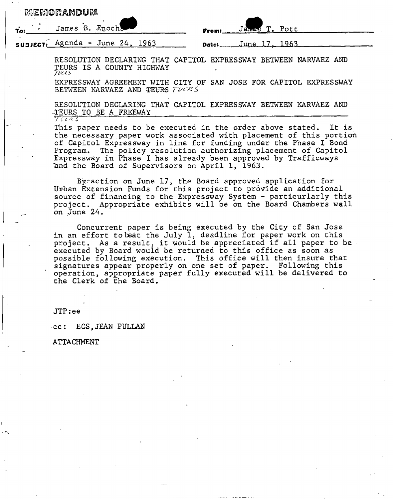| MEMORANDUM |  |                                 |  |                       |  |  |  |
|------------|--|---------------------------------|--|-----------------------|--|--|--|
|            |  | Loi James B. Enoch              |  | From: James T. Pott   |  |  |  |
|            |  | subject: Agenda - June 24, 1963 |  | Dato: $June 17, 1963$ |  |  |  |

RESOLUTION DECLARING THAT CAPITOL EXPRESSWAY BETWEEN NARVAEZ AND TEURS IS A COUNTY HIGHWAY *JVUS* 

EXPRESSWAY AGREEMENT WITH CITY OF SAN JOSE FOR CAPITOL EXPRESSWAY BETWEEN NARVAEZ AND TEURS  $\tau \nu e \kappa s$ 

RESOLUTION DECLARING THAT CAPITOL EXPRESSWAY BETWEEN NARVAEZ AND -TEURS TO BE A FREEWAY **7** 

This paper needs to be executed in the order above stated. It is the necessary.paper work associated with placement of this portion of Capitol Expressway in line for funding under the Phase I Bond Program. The policy resolution authorizing placement of Capitol Expressway in Phase I has already been approved by Trafficways and the Board of Supervisors on April 1, 1963.

Bycaction on June 17, the Board approved application for Urban Extension Funds for this project to provide an additional source of financing to the Expressway System - particurlarly this project. Appropriate exhibits will be on the Board Chambers wall on June 24.

Concurrent paper is being executed by the City of San Jose in an effort to beat the July 1, deadline for paper work on this project. As a result, it would be appreciated if all paper to be executed by Board would be returned to this office as soon as possible following execution. This office will then insure that signatures appear properly on one set of paper. Following this operation, appropriate paper fully executed will be delivered to the Clerk of the Board.

 $JTP:ee$ 

cc: ECS,JEAN PULLAN

ATTACHMENT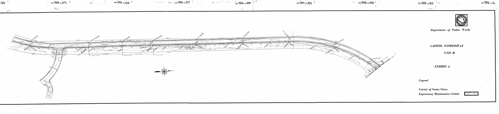



BOOK 7584 PACE 63

# Department of Public Works

## CAPITOL EXPRESSWAY

## UNIT II

EXHIBIT A

 $\vert$  Legend

 $\frac{1}{2}$  **book 7584** FADE 631

n hayrnad (mall

County of Santa Clara Expressway Maintenance Limits